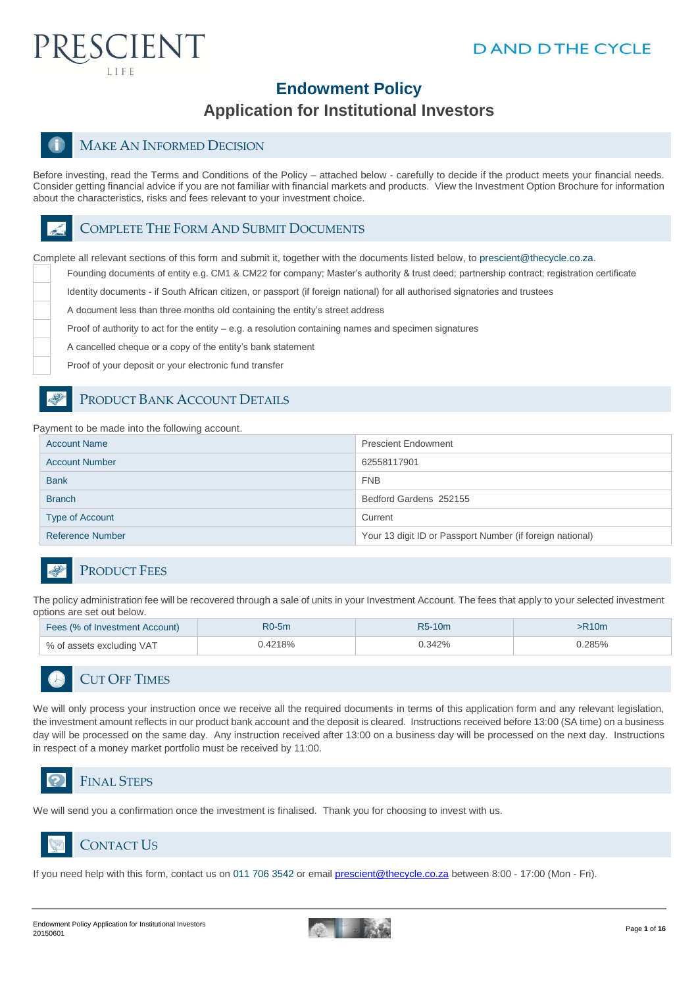

## **Endowment Policy**

#### **Application for Institutional Investors**

#### MAKE AN INFORMED DECISION

Before investing, read the Terms and Conditions of the Policy – attached below - carefully to decide if the product meets your financial needs. Consider getting financial advice if you are not familiar with financial markets and products. View the Investment Option Brochure for information about the characteristics, risks and fees relevant to your investment choice.

#### COMPLETE THE FORM AND SUBMIT DOCUMENTS

Complete all relevant sections of this form and submit it, together with the documents listed below, to prescient@thecycle.co.za.

Founding documents of entity e.g. CM1 & CM22 for company; Master's authority & trust deed; partnership contract; registration certificate

Identity documents - if South African citizen, or passport (if foreign national) for all authorised signatories and trustees

A document less than three months old containing the entity's street address

Proof of authority to act for the entity  $-e.g.$  a resolution containing names and specimen signatures

A cancelled cheque or a copy of the entity's bank statement

Proof of your deposit or your electronic fund transfer

#### PRODUCT BANK ACCOUNT DETAILS

Payment to be made into the following account.

| <b>Account Name</b>     | <b>Prescient Endowment</b>                                |
|-------------------------|-----------------------------------------------------------|
| <b>Account Number</b>   | 62558117901                                               |
| <b>Bank</b>             | <b>FNB</b>                                                |
| <b>Branch</b>           | Bedford Gardens 252155                                    |
| <b>Type of Account</b>  | Current                                                   |
| <b>Reference Number</b> | Your 13 digit ID or Passport Number (if foreign national) |

#### PRODUCT FEES

The policy administration fee will be recovered through a sale of units in your Investment Account. The fees that apply to your selected investment options are set out below.

| Fees (% of Investment Account) | $R0-5m$ | R5-10m | >R10m  |
|--------------------------------|---------|--------|--------|
| % of assets excluding VAT      | 0.4218% | 0.342% | 7.285% |

## CUT OFF TIMES

We will only process your instruction once we receive all the required documents in terms of this application form and any relevant legislation, the investment amount reflects in our product bank account and the deposit is cleared. Instructions received before 13:00 (SA time) on a business day will be processed on the same day. Any instruction received after 13:00 on a business day will be processed on the next day. Instructions in respect of a money market portfolio must be received by 11:00.



We will send you a confirmation once the investment is finalised. Thank you for choosing to invest with us.



CONTACT US

If you need help with this form, contact us on 011 706 3542 or email [prescient@thecycle.co.za](mailto:prescient@thecycle.co.za) between 8:00 - 17:00 (Mon - Fri).

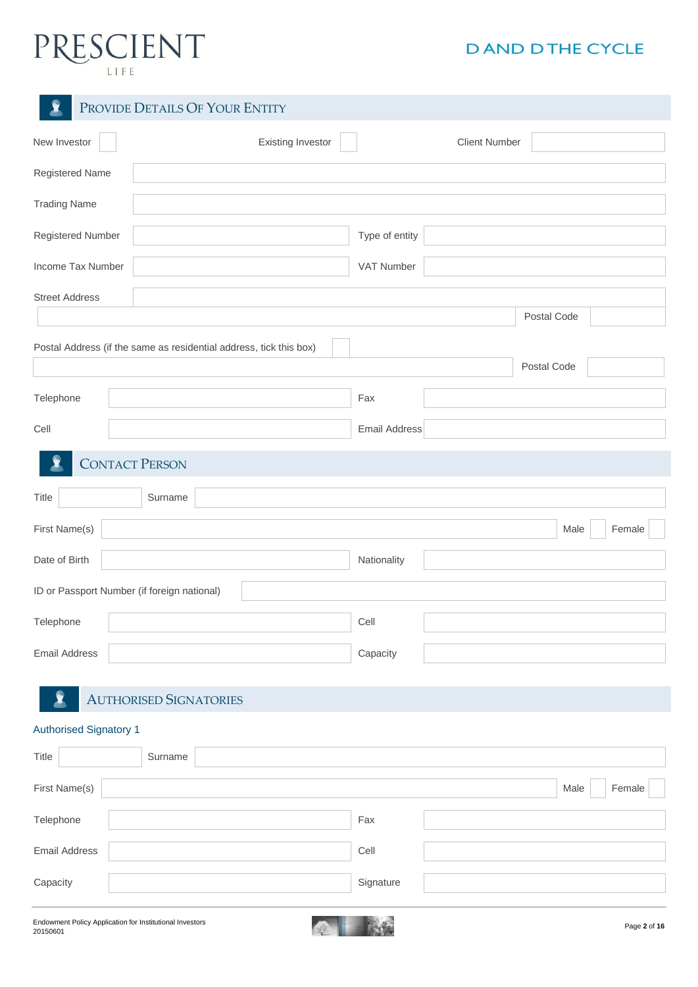# PRESCIENT

## **DAND DTHE CYCLE**

| 2                     | PROVIDE DETAILS OF YOUR ENTITY                                     |                      |
|-----------------------|--------------------------------------------------------------------|----------------------|
| New Investor          | <b>Existing Investor</b>                                           | <b>Client Number</b> |
| Registered Name       |                                                                    |                      |
| <b>Trading Name</b>   |                                                                    |                      |
| Registered Number     |                                                                    | Type of entity       |
| Income Tax Number     |                                                                    | VAT Number           |
| <b>Street Address</b> |                                                                    |                      |
|                       |                                                                    | Postal Code          |
|                       | Postal Address (if the same as residential address, tick this box) | Postal Code          |
| Telephone             |                                                                    | Fax                  |
| Cell                  |                                                                    | <b>Email Address</b> |
|                       | <b>CONTACT PERSON</b>                                              |                      |
| Title                 | Surname                                                            |                      |
| First Name(s)         |                                                                    | Female<br>Male       |
| Date of Birth         |                                                                    | Nationality          |
|                       | ID or Passport Number (if foreign national)                        |                      |
| Telephone             |                                                                    | Cell                 |
| <b>Email Address</b>  |                                                                    | Capacity             |
|                       | <b>AUTHORISED SIGNATORIES</b>                                      |                      |

#### Authorised Signatory 1

| Title                | Surname |           |                |
|----------------------|---------|-----------|----------------|
| First Name(s)        |         |           | Female<br>Male |
| Telephone            |         | Fax       |                |
| <b>Email Address</b> |         | Cell      |                |
| Capacity             |         | Signature |                |

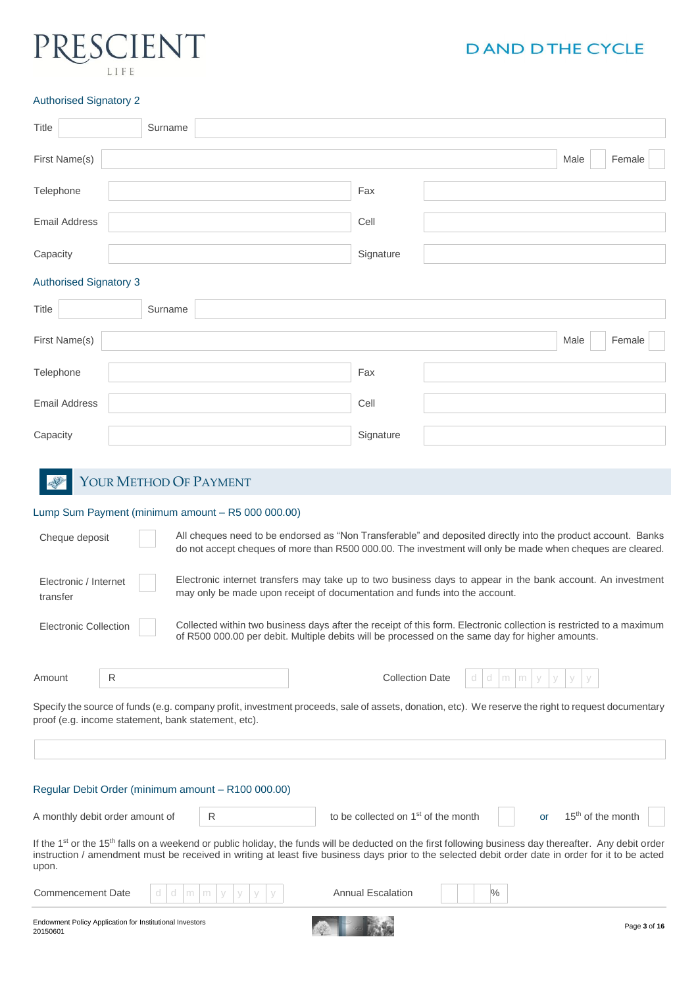## **IENT**  $I$   $I$   $F$

### **DAND DTHE CYCLE**

#### Authorised Signatory 2

|                                                                                                                                                                                                           | Authoriscu Signatory Z |         |                        |  |                                                                                                                                                                                                                            |             |   |      |        |  |
|-----------------------------------------------------------------------------------------------------------------------------------------------------------------------------------------------------------|------------------------|---------|------------------------|--|----------------------------------------------------------------------------------------------------------------------------------------------------------------------------------------------------------------------------|-------------|---|------|--------|--|
| <b>Title</b>                                                                                                                                                                                              |                        | Surname |                        |  |                                                                                                                                                                                                                            |             |   |      |        |  |
| First Name(s)                                                                                                                                                                                             |                        |         |                        |  |                                                                                                                                                                                                                            |             |   | Male | Female |  |
| Telephone                                                                                                                                                                                                 |                        |         |                        |  | Fax                                                                                                                                                                                                                        |             |   |      |        |  |
| <b>Email Address</b>                                                                                                                                                                                      |                        |         |                        |  | Cell                                                                                                                                                                                                                       |             |   |      |        |  |
| Capacity                                                                                                                                                                                                  |                        |         |                        |  | Signature                                                                                                                                                                                                                  |             |   |      |        |  |
| <b>Authorised Signatory 3</b>                                                                                                                                                                             |                        |         |                        |  |                                                                                                                                                                                                                            |             |   |      |        |  |
| Title                                                                                                                                                                                                     |                        | Surname |                        |  |                                                                                                                                                                                                                            |             |   |      |        |  |
| First Name(s)                                                                                                                                                                                             |                        |         |                        |  |                                                                                                                                                                                                                            |             |   | Male | Female |  |
| Telephone                                                                                                                                                                                                 |                        |         |                        |  | Fax                                                                                                                                                                                                                        |             |   |      |        |  |
| <b>Email Address</b>                                                                                                                                                                                      |                        |         |                        |  | Cell                                                                                                                                                                                                                       |             |   |      |        |  |
| Capacity                                                                                                                                                                                                  |                        |         |                        |  | Signature                                                                                                                                                                                                                  |             |   |      |        |  |
|                                                                                                                                                                                                           |                        |         |                        |  |                                                                                                                                                                                                                            |             |   |      |        |  |
|                                                                                                                                                                                                           |                        |         | YOUR METHOD OF PAYMENT |  |                                                                                                                                                                                                                            |             |   |      |        |  |
| Lump Sum Payment (minimum amount - R5 000 000.00)                                                                                                                                                         |                        |         |                        |  |                                                                                                                                                                                                                            |             |   |      |        |  |
| Cheque deposit                                                                                                                                                                                            |                        |         |                        |  | All cheques need to be endorsed as "Non Transferable" and deposited directly into the product account. Banks<br>do not accept cheques of more than R500 000.00. The investment will only be made when cheques are cleared. |             |   |      |        |  |
| Electronic / Internet<br>transfer                                                                                                                                                                         |                        |         |                        |  | Electronic internet transfers may take up to two business days to appear in the bank account. An investment<br>may only be made upon receipt of documentation and funds into the account.                                  |             |   |      |        |  |
| <b>Electronic Collection</b>                                                                                                                                                                              |                        |         |                        |  | Collected within two business days after the receipt of this form. Electronic collection is restricted to a maximum<br>of R500 000.00 per debit. Multiple debits will be processed on the same day for higher amounts.     |             |   |      |        |  |
| Amount                                                                                                                                                                                                    | ${\sf R}$              |         |                        |  | <b>Collection Date</b>                                                                                                                                                                                                     | a<br>a<br>m | m |      |        |  |
| Specify the source of funds (e.g. company profit, investment proceeds, sale of assets, donation, etc). We reserve the right to request documentary<br>proof (e.g. income statement, bank statement, etc). |                        |         |                        |  |                                                                                                                                                                                                                            |             |   |      |        |  |

Regular Debit Order (minimum amount – R100 000.00)

A monthly debit order amount of  $\overline{R}$  to be collected on 1<sup>st</sup> of the month or  $15^{\text{th}}$  of the month

If the 1<sup>st</sup> or the 15<sup>th</sup> falls on a weekend or public holiday, the funds will be deducted on the first following business day thereafter. Any debit order instruction / amendment must be received in writing at least five business days prior to the selected debit order date in order for it to be acted upon.

| <b>Commencement Date</b>                                             | Annual Escalation |              |
|----------------------------------------------------------------------|-------------------|--------------|
| Endowment Policy Application for Institutional Investors<br>20150601 |                   | Page 3 of 16 |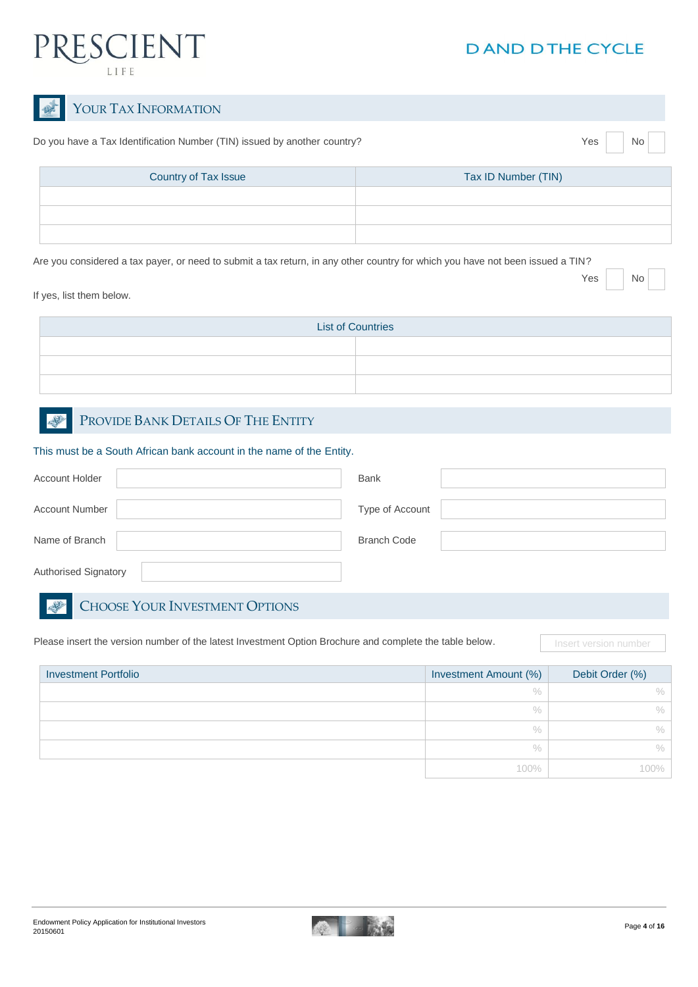

| YOUR TAX INFORMATION                                                                                                           |                     |
|--------------------------------------------------------------------------------------------------------------------------------|---------------------|
| Do you have a Tax Identification Number (TIN) issued by another country?                                                       | Yes<br>No           |
| Country of Tax Issue                                                                                                           | Tax ID Number (TIN) |
|                                                                                                                                |                     |
|                                                                                                                                |                     |
|                                                                                                                                |                     |
| Are you considered a tax payer, or need to submit a tax return, in any other country for which you have not been issued a TIN? |                     |
|                                                                                                                                | Yes<br><b>No</b>    |

If yes, list them below.

2

| <b>List of Countries</b> |  |  |  |
|--------------------------|--|--|--|
|                          |  |  |  |
|                          |  |  |  |
|                          |  |  |  |

#### PROVIDE BANK DETAILS OF THE ENTITY

This must be a South African bank account in the name of the Entity.

| <b>Account Holder</b> | <b>Bank</b>        |
|-----------------------|--------------------|
| <b>Account Number</b> | Type of Account    |
| Name of Branch        | <b>Branch Code</b> |
| Authorised Signatory  |                    |

#### CHOOSE YOUR INVESTMENT OPTIONS

Please insert the version number of the latest Investment Option Brochure and complete the table below. **Insert version number** 

| <b>Investment Portfolio</b> | Investment Amount (%) | Debit Order (%) |
|-----------------------------|-----------------------|-----------------|
|                             | $\frac{0}{0}$         | $\frac{0}{0}$   |
|                             | $\frac{0}{0}$         | ℅               |
|                             | $\frac{0}{0}$         | $\%$            |
|                             | $\%$                  | $\frac{0}{0}$   |
|                             | 100%                  |                 |

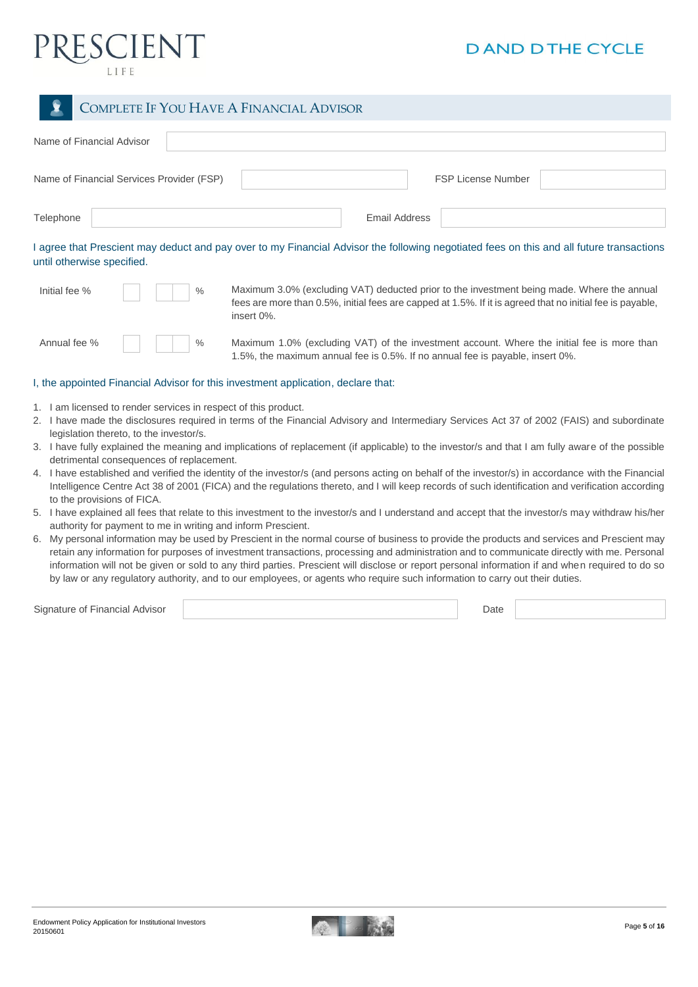

#### COMPLETE IF YOU HAVE A FINANCIAL ADVISOR

| Name of Financial Advisor                 |                                                                                                                                          |
|-------------------------------------------|------------------------------------------------------------------------------------------------------------------------------------------|
| Name of Financial Services Provider (FSP) | <b>FSP License Number</b>                                                                                                                |
| Telephone                                 | <b>Email Address</b>                                                                                                                     |
|                                           | I agree that Prescient may deduct and pay over to my Financial Advisor the following negotiated fees on this and all future transactions |

until otherwise specified.

| Initial fee %                          |  |               |
|----------------------------------------|--|---------------|
|                                        |  |               |
| $\mathbf{A}$ $\mathbf{A}$ $\mathbf{A}$ |  | $\sim$ $\sim$ |

Maximum 3.0% (excluding VAT) deducted prior to the investment being made. Where the annual fees are more than 0.5%, initial fees are capped at 1.5%. If it is agreed that no initial fee is payable, insert 0%.

Annual fee % | | | | | % Maximum 1.0% (excluding VAT) of the investment account. Where the initial fee is more than 1.5%, the maximum annual fee is 0.5%. If no annual fee is payable, insert 0%.

#### I, the appointed Financial Advisor for this investment application, declare that:

- 1. I am licensed to render services in respect of this product.
- 2. I have made the disclosures required in terms of the Financial Advisory and Intermediary Services Act 37 of 2002 (FAIS) and subordinate legislation thereto, to the investor/s.
- 3. I have fully explained the meaning and implications of replacement (if applicable) to the investor/s and that I am fully aware of the possible detrimental consequences of replacement.
- 4. I have established and verified the identity of the investor/s (and persons acting on behalf of the investor/s) in accordance with the Financial Intelligence Centre Act 38 of 2001 (FICA) and the regulations thereto, and I will keep records of such identification and verification according to the provisions of FICA.
- 5. I have explained all fees that relate to this investment to the investor/s and I understand and accept that the investor/s may withdraw his/her authority for payment to me in writing and inform Prescient.
- 6. My personal information may be used by Prescient in the normal course of business to provide the products and services and Prescient may retain any information for purposes of investment transactions, processing and administration and to communicate directly with me. Personal information will not be given or sold to any third parties. Prescient will disclose or report personal information if and when required to do so by law or any regulatory authority, and to our employees, or agents who require such information to carry out their duties.

Signature of Financial Advisor Date **Date Access 2006** Contract a Contract Advisor Date Date Date **Date Access 2006** 

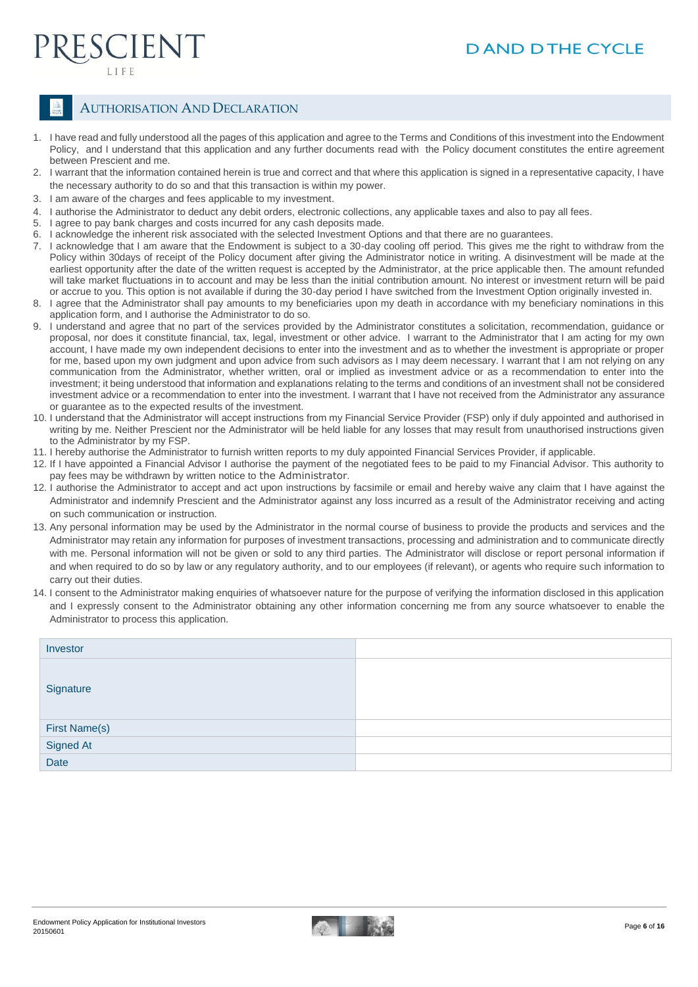## ESCIENT

#### AUTHORISATION AND DECLARATION

- 1. I have read and fully understood all the pages of this application and agree to the Terms and Conditions of this investment into the Endowment Policy, and I understand that this application and any further documents read with the Policy document constitutes the entire agreement between Prescient and me.
- 2. I warrant that the information contained herein is true and correct and that where this application is signed in a representative capacity, I have the necessary authority to do so and that this transaction is within my power.
- 3. I am aware of the charges and fees applicable to my investment.
- 4. I authorise the Administrator to deduct any debit orders, electronic collections, any applicable taxes and also to pay all fees.<br>5. Lagree to pay bank charges and costs incurred for any cash deposits made.
- I agree to pay bank charges and costs incurred for any cash deposits made.
- 6. I acknowledge the inherent risk associated with the selected Investment Options and that there are no guarantees.
- 7. I acknowledge that I am aware that the Endowment is subject to a 30-day cooling off period. This gives me the right to withdraw from the Policy within 30days of receipt of the Policy document after giving the Administrator notice in writing. A disinvestment will be made at the earliest opportunity after the date of the written request is accepted by the Administrator, at the price applicable then. The amount refunded will take market fluctuations in to account and may be less than the initial contribution amount. No interest or investment return will be paid or accrue to you. This option is not available if during the 30-day period I have switched from the Investment Option originally invested in.
- 8. I agree that the Administrator shall pay amounts to my beneficiaries upon my death in accordance with my beneficiary nominations in this application form, and I authorise the Administrator to do so.
- 9. I understand and agree that no part of the services provided by the Administrator constitutes a solicitation, recommendation, guidance or proposal, nor does it constitute financial, tax, legal, investment or other advice. I warrant to the Administrator that I am acting for my own account, I have made my own independent decisions to enter into the investment and as to whether the investment is appropriate or proper for me, based upon my own judgment and upon advice from such advisors as I may deem necessary. I warrant that I am not relying on any communication from the Administrator, whether written, oral or implied as investment advice or as a recommendation to enter into the investment; it being understood that information and explanations relating to the terms and conditions of an investment shall not be considered investment advice or a recommendation to enter into the investment. I warrant that I have not received from the Administrator any assurance or guarantee as to the expected results of the investment.
- 10. I understand that the Administrator will accept instructions from my Financial Service Provider (FSP) only if duly appointed and authorised in writing by me. Neither Prescient nor the Administrator will be held liable for any losses that may result from unauthorised instructions given to the Administrator by my FSP.
- 11. I hereby authorise the Administrator to furnish written reports to my duly appointed Financial Services Provider, if applicable.
- 12. If I have appointed a Financial Advisor I authorise the payment of the negotiated fees to be paid to my Financial Advisor. This authority to pay fees may be withdrawn by written notice to the Administrator.
- 12. I authorise the Administrator to accept and act upon instructions by facsimile or email and hereby waive any claim that I have against the Administrator and indemnify Prescient and the Administrator against any loss incurred as a result of the Administrator receiving and acting on such communication or instruction.
- 13. Any personal information may be used by the Administrator in the normal course of business to provide the products and services and the Administrator may retain any information for purposes of investment transactions, processing and administration and to communicate directly with me. Personal information will not be given or sold to any third parties. The Administrator will disclose or report personal information if and when required to do so by law or any regulatory authority, and to our employees (if relevant), or agents who require such information to carry out their duties.
- 14. I consent to the Administrator making enquiries of whatsoever nature for the purpose of verifying the information disclosed in this application and I expressly consent to the Administrator obtaining any other information concerning me from any source whatsoever to enable the Administrator to process this application.

| Investor                           |  |
|------------------------------------|--|
| Signature                          |  |
|                                    |  |
| First Name(s)<br>Signed At<br>Date |  |
|                                    |  |

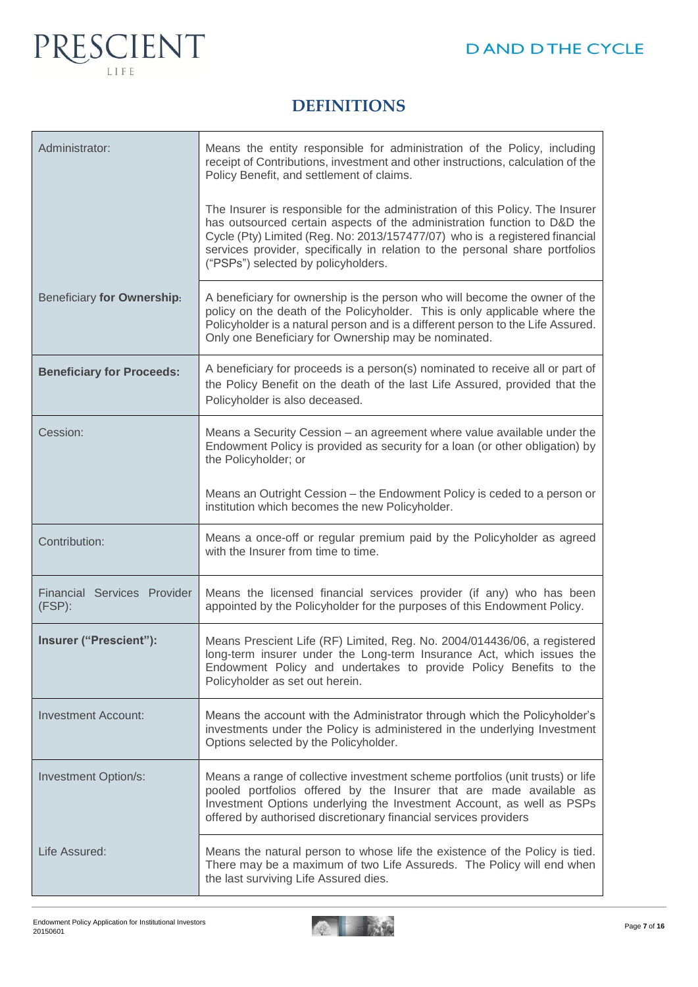

## **DEFINITIONS**

| Administrator:                           | Means the entity responsible for administration of the Policy, including<br>receipt of Contributions, investment and other instructions, calculation of the<br>Policy Benefit, and settlement of claims.                                                                                                                                                        |
|------------------------------------------|-----------------------------------------------------------------------------------------------------------------------------------------------------------------------------------------------------------------------------------------------------------------------------------------------------------------------------------------------------------------|
|                                          | The Insurer is responsible for the administration of this Policy. The Insurer<br>has outsourced certain aspects of the administration function to D&D the<br>Cycle (Pty) Limited (Reg. No: 2013/157477/07) who is a registered financial<br>services provider, specifically in relation to the personal share portfolios<br>("PSPs") selected by policyholders. |
| Beneficiary for Ownership:               | A beneficiary for ownership is the person who will become the owner of the<br>policy on the death of the Policyholder. This is only applicable where the<br>Policyholder is a natural person and is a different person to the Life Assured.<br>Only one Beneficiary for Ownership may be nominated.                                                             |
| <b>Beneficiary for Proceeds:</b>         | A beneficiary for proceeds is a person(s) nominated to receive all or part of<br>the Policy Benefit on the death of the last Life Assured, provided that the<br>Policyholder is also deceased.                                                                                                                                                                  |
| Cession:                                 | Means a Security Cession - an agreement where value available under the<br>Endowment Policy is provided as security for a loan (or other obligation) by<br>the Policyholder; or                                                                                                                                                                                 |
|                                          | Means an Outright Cession – the Endowment Policy is ceded to a person or<br>institution which becomes the new Policyholder.                                                                                                                                                                                                                                     |
| Contribution:                            | Means a once-off or regular premium paid by the Policyholder as agreed<br>with the Insurer from time to time.                                                                                                                                                                                                                                                   |
| Financial Services Provider<br>$(FSP)$ : | Means the licensed financial services provider (if any) who has been<br>appointed by the Policyholder for the purposes of this Endowment Policy.                                                                                                                                                                                                                |
| Insurer ("Prescient"):                   | Means Prescient Life (RF) Limited, Reg. No. 2004/014436/06, a registered<br>long-term insurer under the Long-term Insurance Act, which issues the<br>Endowment Policy and undertakes to provide Policy Benefits to the<br>Policyholder as set out herein.                                                                                                       |
| <b>Investment Account:</b>               | Means the account with the Administrator through which the Policyholder's<br>investments under the Policy is administered in the underlying Investment<br>Options selected by the Policyholder.                                                                                                                                                                 |
| Investment Option/s:                     | Means a range of collective investment scheme portfolios (unit trusts) or life<br>pooled portfolios offered by the Insurer that are made available as<br>Investment Options underlying the Investment Account, as well as PSPs<br>offered by authorised discretionary financial services providers                                                              |
| Life Assured:                            | Means the natural person to whose life the existence of the Policy is tied.<br>There may be a maximum of two Life Assureds. The Policy will end when<br>the last surviving Life Assured dies.                                                                                                                                                                   |

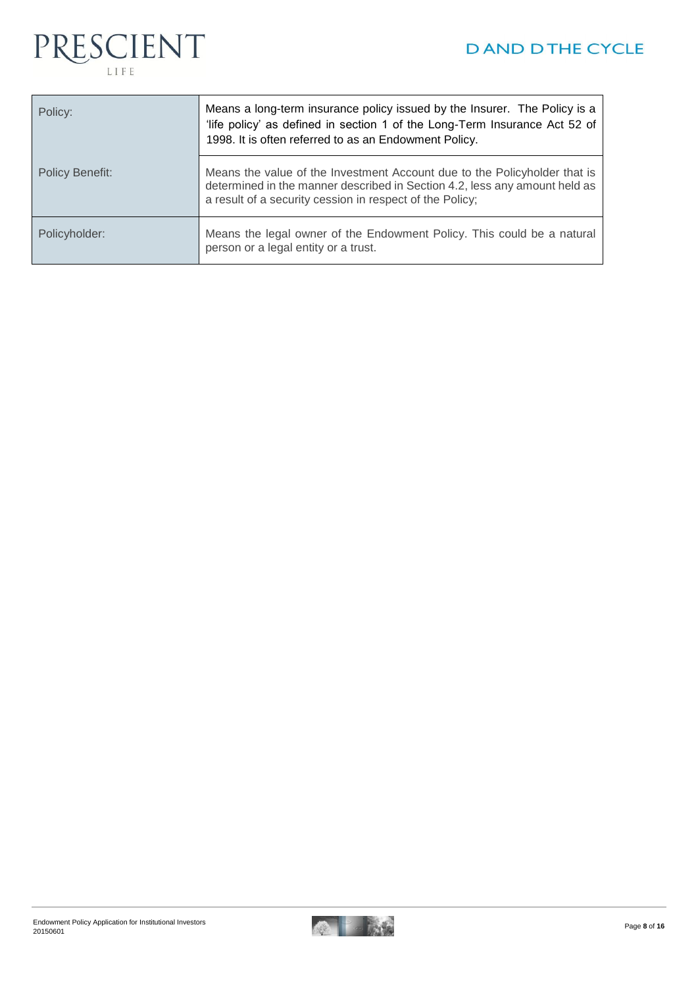

| Policy:         | Means a long-term insurance policy issued by the Insurer. The Policy is a<br>'life policy' as defined in section 1 of the Long-Term Insurance Act 52 of<br>1998. It is often referred to as an Endowment Policy.    |
|-----------------|---------------------------------------------------------------------------------------------------------------------------------------------------------------------------------------------------------------------|
| Policy Benefit: | Means the value of the Investment Account due to the Policyholder that is<br>determined in the manner described in Section 4.2, less any amount held as<br>a result of a security cession in respect of the Policy; |
| Policyholder:   | Means the legal owner of the Endowment Policy. This could be a natural<br>person or a legal entity or a trust.                                                                                                      |

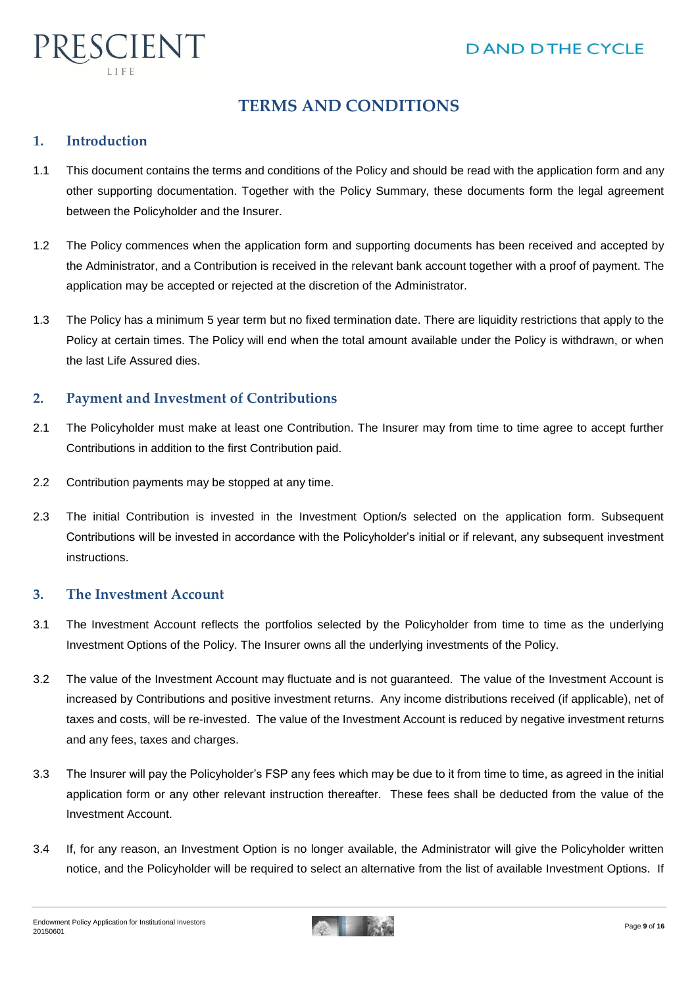

## **TERMS AND CONDITIONS**

#### **1. Introduction**

- 1.1 This document contains the terms and conditions of the Policy and should be read with the application form and any other supporting documentation. Together with the Policy Summary, these documents form the legal agreement between the Policyholder and the Insurer.
- 1.2 The Policy commences when the application form and supporting documents has been received and accepted by the Administrator, and a Contribution is received in the relevant bank account together with a proof of payment. The application may be accepted or rejected at the discretion of the Administrator.
- 1.3 The Policy has a minimum 5 year term but no fixed termination date. There are liquidity restrictions that apply to the Policy at certain times. The Policy will end when the total amount available under the Policy is withdrawn, or when the last Life Assured dies.

#### **2. Payment and Investment of Contributions**

- 2.1 The Policyholder must make at least one Contribution. The Insurer may from time to time agree to accept further Contributions in addition to the first Contribution paid.
- 2.2 Contribution payments may be stopped at any time.
- 2.3 The initial Contribution is invested in the Investment Option/s selected on the application form. Subsequent Contributions will be invested in accordance with the Policyholder's initial or if relevant, any subsequent investment instructions.

#### **3. The Investment Account**

- 3.1 The Investment Account reflects the portfolios selected by the Policyholder from time to time as the underlying Investment Options of the Policy. The Insurer owns all the underlying investments of the Policy.
- 3.2 The value of the Investment Account may fluctuate and is not guaranteed. The value of the Investment Account is increased by Contributions and positive investment returns. Any income distributions received (if applicable), net of taxes and costs, will be re-invested. The value of the Investment Account is reduced by negative investment returns and any fees, taxes and charges.
- 3.3 The Insurer will pay the Policyholder's FSP any fees which may be due to it from time to time, as agreed in the initial application form or any other relevant instruction thereafter. These fees shall be deducted from the value of the Investment Account.
- 3.4 If, for any reason, an Investment Option is no longer available, the Administrator will give the Policyholder written notice, and the Policyholder will be required to select an alternative from the list of available Investment Options. If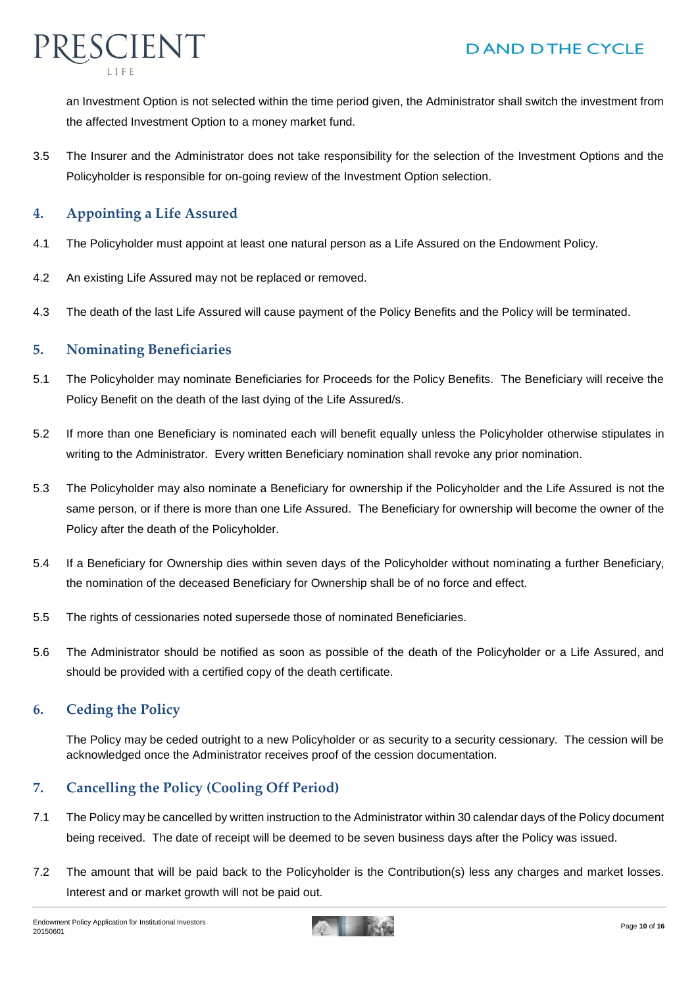

an Investment Option is not selected within the time period given, the Administrator shall switch the investment from the affected Investment Option to a money market fund.

3.5 The Insurer and the Administrator does not take responsibility for the selection of the Investment Options and the Policyholder is responsible for on-going review of the Investment Option selection.

#### **4. Appointing a Life Assured**

- 4.1 The Policyholder must appoint at least one natural person as a Life Assured on the Endowment Policy.
- 4.2 An existing Life Assured may not be replaced or removed.
- 4.3 The death of the last Life Assured will cause payment of the Policy Benefits and the Policy will be terminated.

#### **5. Nominating Beneficiaries**

- 5.1 The Policyholder may nominate Beneficiaries for Proceeds for the Policy Benefits. The Beneficiary will receive the Policy Benefit on the death of the last dying of the Life Assured/s.
- 5.2 If more than one Beneficiary is nominated each will benefit equally unless the Policyholder otherwise stipulates in writing to the Administrator. Every written Beneficiary nomination shall revoke any prior nomination.
- 5.3 The Policyholder may also nominate a Beneficiary for ownership if the Policyholder and the Life Assured is not the same person, or if there is more than one Life Assured. The Beneficiary for ownership will become the owner of the Policy after the death of the Policyholder.
- 5.4 If a Beneficiary for Ownership dies within seven days of the Policyholder without nominating a further Beneficiary, the nomination of the deceased Beneficiary for Ownership shall be of no force and effect.
- 5.5 The rights of cessionaries noted supersede those of nominated Beneficiaries.
- 5.6 The Administrator should be notified as soon as possible of the death of the Policyholder or a Life Assured, and should be provided with a certified copy of the death certificate.

#### **6. Ceding the Policy**

The Policy may be ceded outright to a new Policyholder or as security to a security cessionary. The cession will be acknowledged once the Administrator receives proof of the cession documentation.

#### **7. Cancelling the Policy (Cooling Off Period)**

- 7.1 The Policy may be cancelled by written instruction to the Administrator within 30 calendar days of the Policy document being received. The date of receipt will be deemed to be seven business days after the Policy was issued.
- 7.2 The amount that will be paid back to the Policyholder is the Contribution(s) less any charges and market losses. Interest and or market growth will not be paid out.

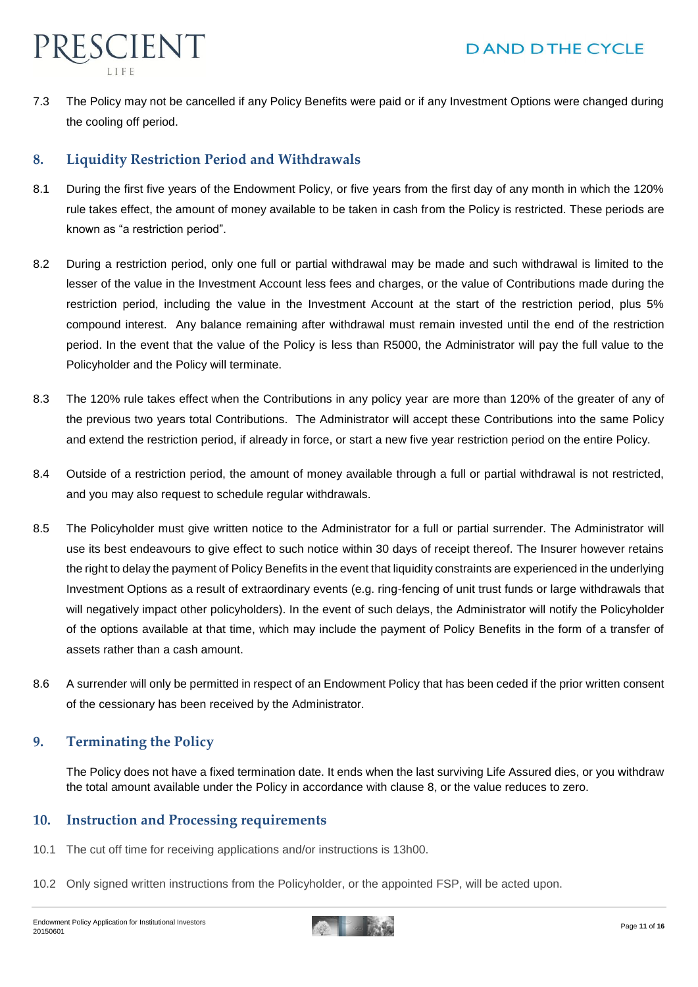

7.3 The Policy may not be cancelled if any Policy Benefits were paid or if any Investment Options were changed during the cooling off period.

#### **8. Liquidity Restriction Period and Withdrawals**

- 8.1 During the first five years of the Endowment Policy, or five years from the first day of any month in which the 120% rule takes effect, the amount of money available to be taken in cash from the Policy is restricted. These periods are known as "a restriction period".
- 8.2 During a restriction period, only one full or partial withdrawal may be made and such withdrawal is limited to the lesser of the value in the Investment Account less fees and charges, or the value of Contributions made during the restriction period, including the value in the Investment Account at the start of the restriction period, plus 5% compound interest. Any balance remaining after withdrawal must remain invested until the end of the restriction period. In the event that the value of the Policy is less than R5000, the Administrator will pay the full value to the Policyholder and the Policy will terminate.
- 8.3 The 120% rule takes effect when the Contributions in any policy year are more than 120% of the greater of any of the previous two years total Contributions. The Administrator will accept these Contributions into the same Policy and extend the restriction period, if already in force, or start a new five year restriction period on the entire Policy.
- 8.4 Outside of a restriction period, the amount of money available through a full or partial withdrawal is not restricted, and you may also request to schedule regular withdrawals.
- 8.5 The Policyholder must give written notice to the Administrator for a full or partial surrender. The Administrator will use its best endeavours to give effect to such notice within 30 days of receipt thereof. The Insurer however retains the right to delay the payment of Policy Benefits in the event that liquidity constraints are experienced in the underlying Investment Options as a result of extraordinary events (e.g. ring-fencing of unit trust funds or large withdrawals that will negatively impact other policyholders). In the event of such delays, the Administrator will notify the Policyholder of the options available at that time, which may include the payment of Policy Benefits in the form of a transfer of assets rather than a cash amount.
- 8.6 A surrender will only be permitted in respect of an Endowment Policy that has been ceded if the prior written consent of the cessionary has been received by the Administrator.

#### **9. Terminating the Policy**

The Policy does not have a fixed termination date. It ends when the last surviving Life Assured dies, or you withdraw the total amount available under the Policy in accordance with clause 8, or the value reduces to zero.

#### **10. Instruction and Processing requirements**

- 10.1 The cut off time for receiving applications and/or instructions is 13h00.
- 10.2 Only signed written instructions from the Policyholder, or the appointed FSP, will be acted upon.

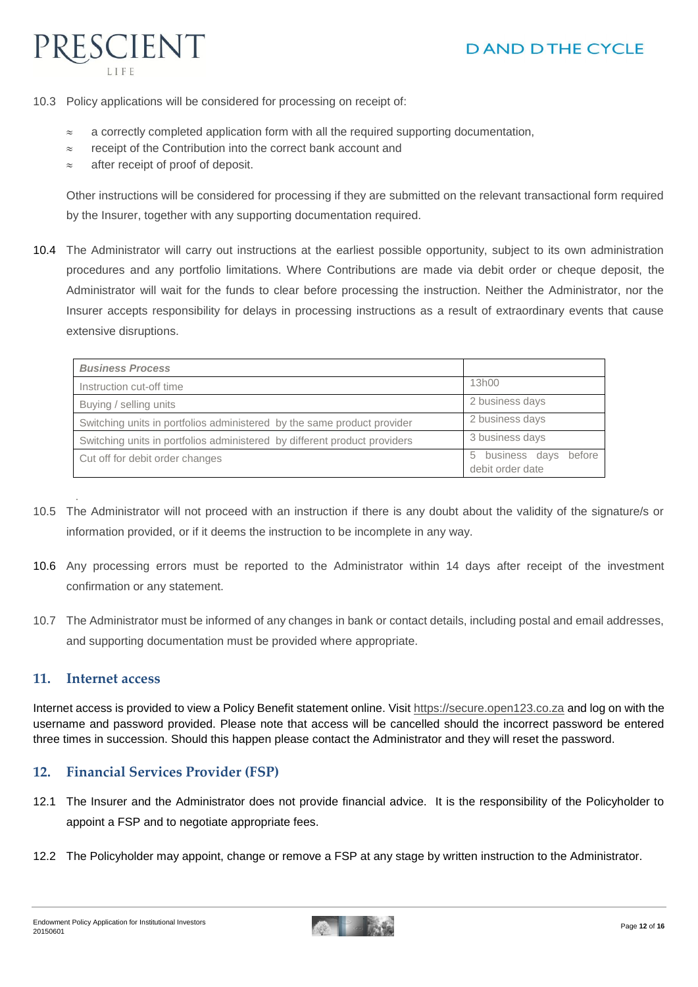

10.3 Policy applications will be considered for processing on receipt of:

- $\approx$  a correctly completed application form with all the required supporting documentation,
- $\approx$  receipt of the Contribution into the correct bank account and
- $\approx$  after receipt of proof of deposit.

Other instructions will be considered for processing if they are submitted on the relevant transactional form required by the Insurer, together with any supporting documentation required.

10.4 The Administrator will carry out instructions at the earliest possible opportunity, subject to its own administration procedures and any portfolio limitations. Where Contributions are made via debit order or cheque deposit, the Administrator will wait for the funds to clear before processing the instruction. Neither the Administrator, nor the Insurer accepts responsibility for delays in processing instructions as a result of extraordinary events that cause extensive disruptions.

| <b>Business Process</b>                                                   |                                                  |
|---------------------------------------------------------------------------|--------------------------------------------------|
| Instruction cut-off time                                                  | 13h00                                            |
| Buying / selling units                                                    | 2 business days                                  |
| Switching units in portfolios administered by the same product provider   | 2 business days                                  |
| Switching units in portfolios administered by different product providers | 3 business days                                  |
| Cut off for debit order changes                                           | before<br>business days<br>5<br>debit order date |

- 10.5 The Administrator will not proceed with an instruction if there is any doubt about the validity of the signature/s or information provided, or if it deems the instruction to be incomplete in any way.
- 10.6 Any processing errors must be reported to the Administrator within 14 days after receipt of the investment confirmation or any statement.
- 10.7 The Administrator must be informed of any changes in bank or contact details, including postal and email addresses, and supporting documentation must be provided where appropriate.

#### **11. Internet access**

.

Internet access is provided to view a Policy Benefit statement online. Visit [https://secure.open123.co.za](http://www.prescientonline.co.za/) and log on with the username and password provided. Please note that access will be cancelled should the incorrect password be entered three times in succession. Should this happen please contact the Administrator and they will reset the password.

#### **12. Financial Services Provider (FSP)**

- 12.1 The Insurer and the Administrator does not provide financial advice. It is the responsibility of the Policyholder to appoint a FSP and to negotiate appropriate fees.
- 12.2 The Policyholder may appoint, change or remove a FSP at any stage by written instruction to the Administrator.

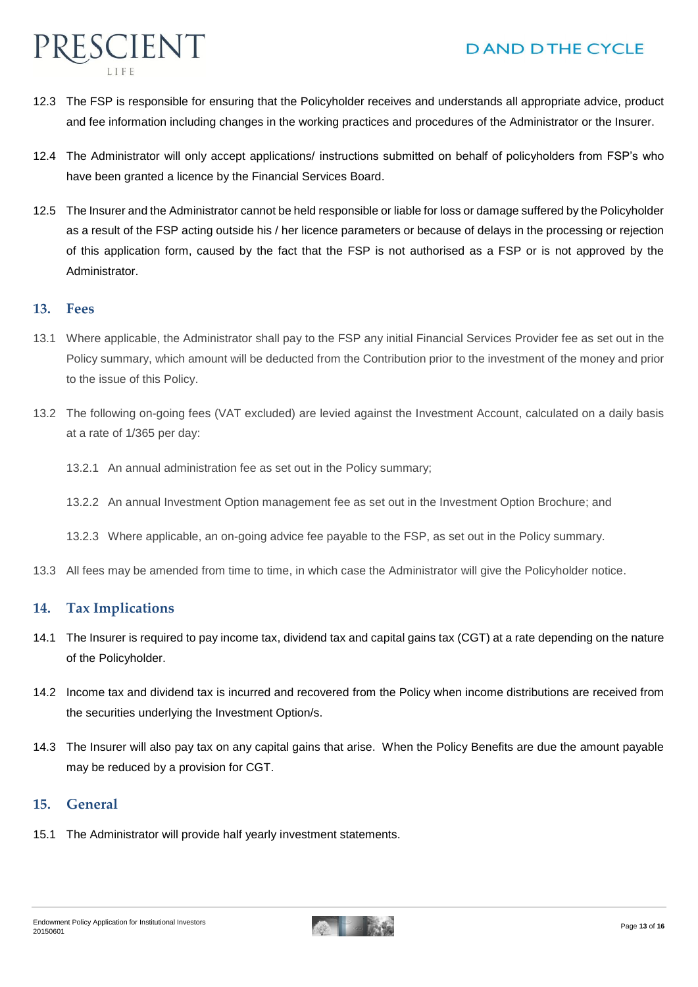

- 12.3 The FSP is responsible for ensuring that the Policyholder receives and understands all appropriate advice, product and fee information including changes in the working practices and procedures of the Administrator or the Insurer.
- 12.4 The Administrator will only accept applications/ instructions submitted on behalf of policyholders from FSP's who have been granted a licence by the Financial Services Board.
- 12.5 The Insurer and the Administrator cannot be held responsible or liable for loss or damage suffered by the Policyholder as a result of the FSP acting outside his / her licence parameters or because of delays in the processing or rejection of this application form, caused by the fact that the FSP is not authorised as a FSP or is not approved by the Administrator.

#### **13. Fees**

- 13.1 Where applicable, the Administrator shall pay to the FSP any initial Financial Services Provider fee as set out in the Policy summary, which amount will be deducted from the Contribution prior to the investment of the money and prior to the issue of this Policy.
- 13.2 The following on-going fees (VAT excluded) are levied against the Investment Account, calculated on a daily basis at a rate of 1/365 per day:
	- 13.2.1 An annual administration fee as set out in the Policy summary;
	- 13.2.2 An annual Investment Option management fee as set out in the Investment Option Brochure; and

13.2.3 Where applicable, an on-going advice fee payable to the FSP, as set out in the Policy summary.

13.3 All fees may be amended from time to time, in which case the Administrator will give the Policyholder notice.

#### **14. Tax Implications**

- 14.1 The Insurer is required to pay income tax, dividend tax and capital gains tax (CGT) at a rate depending on the nature of the Policyholder.
- 14.2 Income tax and dividend tax is incurred and recovered from the Policy when income distributions are received from the securities underlying the Investment Option/s.
- 14.3 The Insurer will also pay tax on any capital gains that arise. When the Policy Benefits are due the amount payable may be reduced by a provision for CGT.

#### **15. General**

15.1 The Administrator will provide half yearly investment statements.

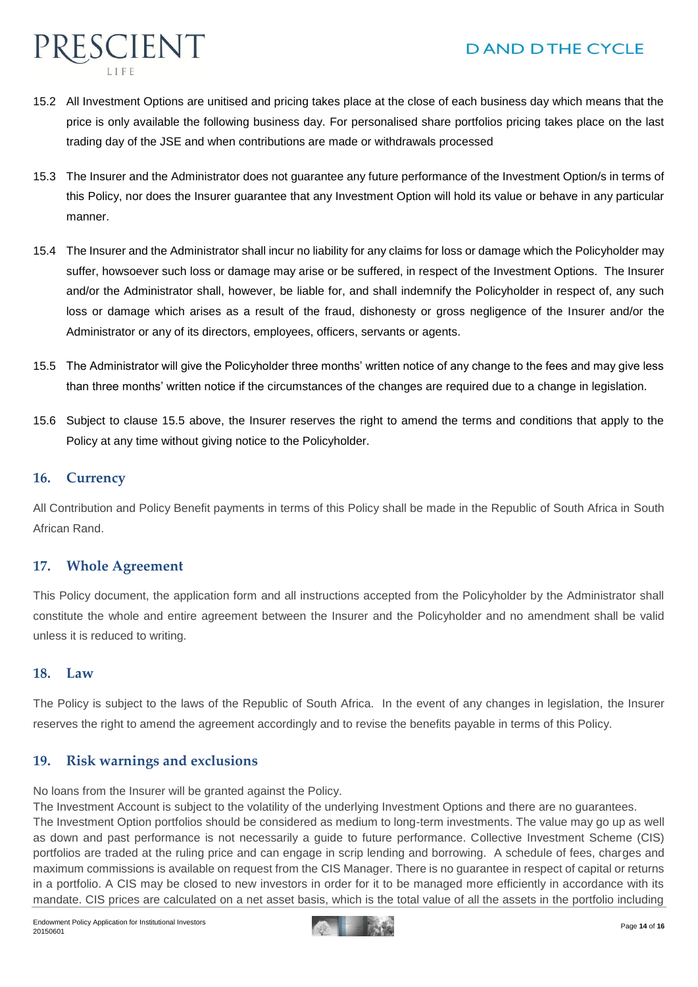

- 15.2 All Investment Options are unitised and pricing takes place at the close of each business day which means that the price is only available the following business day. For personalised share portfolios pricing takes place on the last trading day of the JSE and when contributions are made or withdrawals processed
- 15.3 The Insurer and the Administrator does not guarantee any future performance of the Investment Option/s in terms of this Policy, nor does the Insurer guarantee that any Investment Option will hold its value or behave in any particular manner.
- 15.4 The Insurer and the Administrator shall incur no liability for any claims for loss or damage which the Policyholder may suffer, howsoever such loss or damage may arise or be suffered, in respect of the Investment Options. The Insurer and/or the Administrator shall, however, be liable for, and shall indemnify the Policyholder in respect of, any such loss or damage which arises as a result of the fraud, dishonesty or gross negligence of the Insurer and/or the Administrator or any of its directors, employees, officers, servants or agents.
- 15.5 The Administrator will give the Policyholder three months' written notice of any change to the fees and may give less than three months' written notice if the circumstances of the changes are required due to a change in legislation.
- 15.6 Subject to clause 15.5 above, the Insurer reserves the right to amend the terms and conditions that apply to the Policy at any time without giving notice to the Policyholder.

#### **16. Currency**

All Contribution and Policy Benefit payments in terms of this Policy shall be made in the Republic of South Africa in South African Rand.

#### **17. Whole Agreement**

This Policy document, the application form and all instructions accepted from the Policyholder by the Administrator shall constitute the whole and entire agreement between the Insurer and the Policyholder and no amendment shall be valid unless it is reduced to writing.

#### **18. Law**

The Policy is subject to the laws of the Republic of South Africa. In the event of any changes in legislation, the Insurer reserves the right to amend the agreement accordingly and to revise the benefits payable in terms of this Policy.

#### **19. Risk warnings and exclusions**

No loans from the Insurer will be granted against the Policy.

The Investment Account is subject to the volatility of the underlying Investment Options and there are no guarantees. The Investment Option portfolios should be considered as medium to long-term investments. The value may go up as well as down and past performance is not necessarily a guide to future performance. Collective Investment Scheme (CIS) portfolios are traded at the ruling price and can engage in scrip lending and borrowing. A schedule of fees, charges and maximum commissions is available on request from the CIS Manager. There is no guarantee in respect of capital or returns in a portfolio. A CIS may be closed to new investors in order for it to be managed more efficiently in accordance with its



mandate. CIS prices are calculated on a net asset basis, which is the total value of all the assets in the portfolio including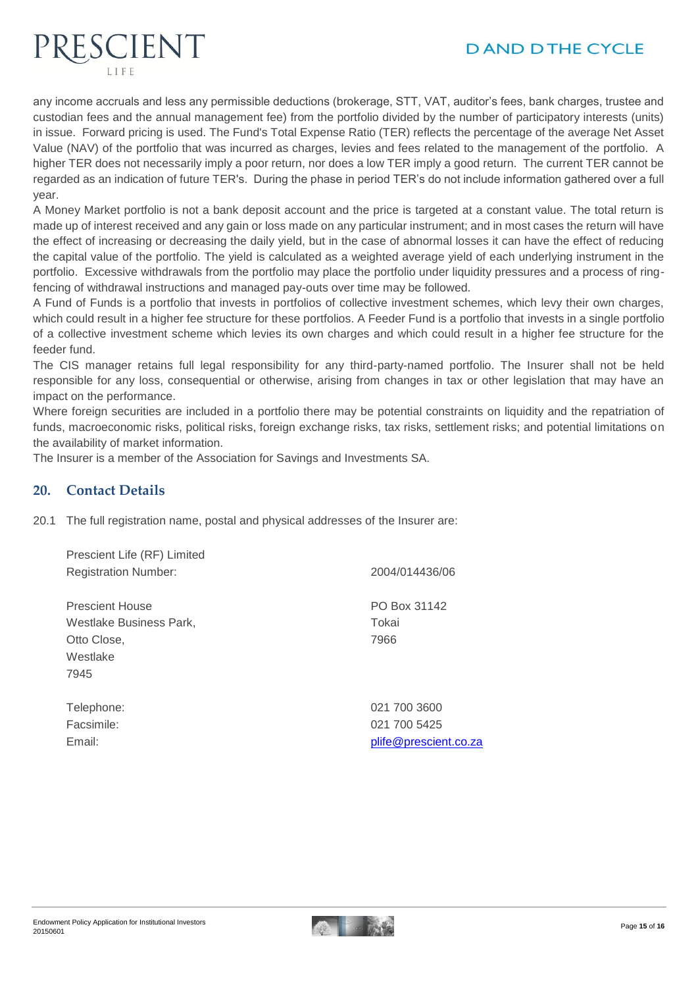

any income accruals and less any permissible deductions (brokerage, STT, VAT, auditor's fees, bank charges, trustee and custodian fees and the annual management fee) from the portfolio divided by the number of participatory interests (units) in issue. Forward pricing is used. The Fund's Total Expense Ratio (TER) reflects the percentage of the average Net Asset Value (NAV) of the portfolio that was incurred as charges, levies and fees related to the management of the portfolio. A higher TER does not necessarily imply a poor return, nor does a low TER imply a good return. The current TER cannot be regarded as an indication of future TER's. During the phase in period TER's do not include information gathered over a full year.

A Money Market portfolio is not a bank deposit account and the price is targeted at a constant value. The total return is made up of interest received and any gain or loss made on any particular instrument; and in most cases the return will have the effect of increasing or decreasing the daily yield, but in the case of abnormal losses it can have the effect of reducing the capital value of the portfolio. The yield is calculated as a weighted average yield of each underlying instrument in the portfolio. Excessive withdrawals from the portfolio may place the portfolio under liquidity pressures and a process of ringfencing of withdrawal instructions and managed pay-outs over time may be followed.

A Fund of Funds is a portfolio that invests in portfolios of collective investment schemes, which levy their own charges, which could result in a higher fee structure for these portfolios. A Feeder Fund is a portfolio that invests in a single portfolio of a collective investment scheme which levies its own charges and which could result in a higher fee structure for the feeder fund.

The CIS manager retains full legal responsibility for any third-party-named portfolio. The Insurer shall not be held responsible for any loss, consequential or otherwise, arising from changes in tax or other legislation that may have an impact on the performance.

Where foreign securities are included in a portfolio there may be potential constraints on liquidity and the repatriation of funds, macroeconomic risks, political risks, foreign exchange risks, tax risks, settlement risks; and potential limitations on the availability of market information.

The Insurer is a member of the Association for Savings and Investments SA.

#### **20. Contact Details**

PRESCIENT

20.1 The full registration name, postal and physical addresses of the Insurer are:

| Prescient Life (RF) Limited<br><b>Registration Number:</b>                           | 2004/014436/06                                        |
|--------------------------------------------------------------------------------------|-------------------------------------------------------|
| <b>Prescient House</b><br>Westlake Business Park,<br>Otto Close,<br>Westlake<br>7945 | PO Box 31142<br>Tokai<br>7966                         |
| Telephone:<br>Facsimile:<br>Email:                                                   | 021 700 3600<br>021 700 5425<br>plife@prescient.co.za |
|                                                                                      |                                                       |